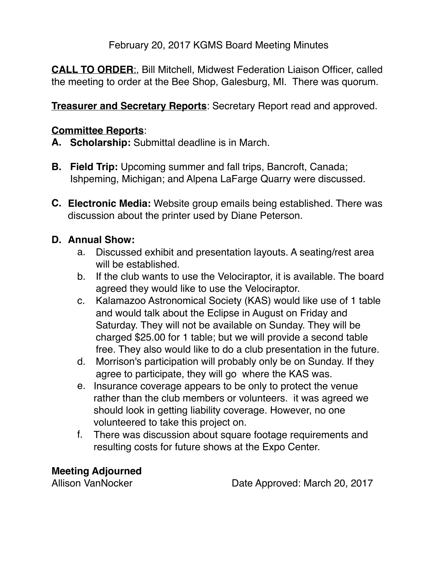February 20, 2017 KGMS Board Meeting Minutes

**CALL TO ORDER**:, Bill Mitchell, Midwest Federation Liaison Officer, called the meeting to order at the Bee Shop, Galesburg, MI. There was quorum.

**Treasurer and Secretary Reports**: Secretary Report read and approved.

## **Committee Reports**:

- **A. Scholarship:** Submittal deadline is in March.
- **B.** Field Trip: Upcoming summer and fall trips, Bancroft, Canada; Ishpeming, Michigan; and Alpena LaFarge Quarry were discussed.
- **C. Electronic Media:** Website group emails being established. There was discussion about the printer used by Diane Peterson.

## **D. Annual Show:**

- a. Discussed exhibit and presentation layouts. A seating/rest area will be established.
- b. If the club wants to use the Velociraptor, it is available. The board agreed they would like to use the Velociraptor.
- c. Kalamazoo Astronomical Society (KAS) would like use of 1 table and would talk about the Eclipse in August on Friday and Saturday. They will not be available on Sunday. They will be charged \$25.00 for 1 table; but we will provide a second table free. They also would like to do a club presentation in the future.
- d. Morrison's participation will probably only be on Sunday. If they agree to participate, they will go where the KAS was.
- e. Insurance coverage appears to be only to protect the venue rather than the club members or volunteers. it was agreed we should look in getting liability coverage. However, no one volunteered to take this project on.
- f. There was discussion about square footage requirements and resulting costs for future shows at the Expo Center.

**Meeting Adjourned**

Allison VanNocker Date Approved: March 20, 2017